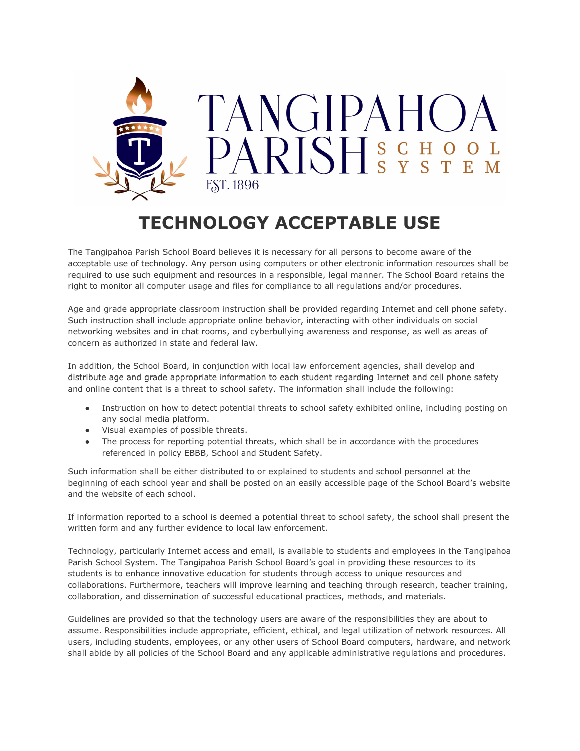

# **TECHNOLOGY ACCEPTABLE USE**

The Tangipahoa Parish School Board believes it is necessary for all persons to become aware of the acceptable use of technology. Any person using computers or other electronic information resources shall be required to use such equipment and resources in a responsible, legal manner. The School Board retains the right to monitor all computer usage and files for compliance to all regulations and/or procedures.

Age and grade appropriate classroom instruction shall be provided regarding Internet and cell phone safety. Such instruction shall include appropriate online behavior, interacting with other individuals on social networking websites and in chat rooms, and cyberbullying awareness and response, as well as areas of concern as authorized in state and federal law.

In addition, the School Board, in conjunction with local law enforcement agencies, shall develop and distribute age and grade appropriate information to each student regarding Internet and cell phone safety and online content that is a threat to school safety. The information shall include the following:

- Instruction on how to detect potential threats to school safety exhibited online, including posting on any social media platform.
- Visual examples of possible threats.
- The process for reporting potential threats, which shall be in accordance with the procedures referenced in policy EBBB, School and Student Safety.

Such information shall be either distributed to or explained to students and school personnel at the beginning of each school year and shall be posted on an easily accessible page of the School Board's website and the website of each school.

If information reported to a school is deemed a potential threat to school safety, the school shall present the written form and any further evidence to local law enforcement.

Technology, particularly Internet access and email, is available to students and employees in the Tangipahoa Parish School System. The Tangipahoa Parish School Board's goal in providing these resources to its students is to enhance innovative education for students through access to unique resources and collaborations. Furthermore, teachers will improve learning and teaching through research, teacher training, collaboration, and dissemination of successful educational practices, methods, and materials.

Guidelines are provided so that the technology users are aware of the responsibilities they are about to assume. Responsibilities include appropriate, efficient, ethical, and legal utilization of network resources. All users, including students, employees, or any other users of School Board computers, hardware, and network shall abide by all policies of the School Board and any applicable administrative regulations and procedures.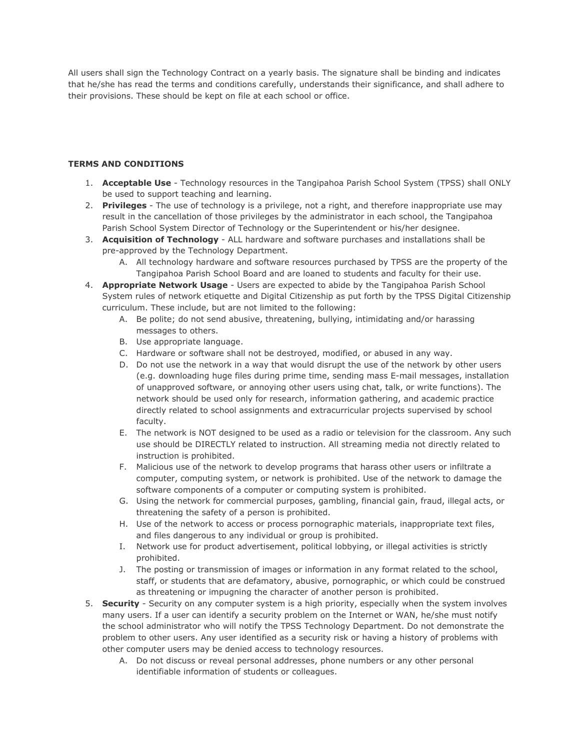All users shall sign the Technology Contract on a yearly basis. The signature shall be binding and indicates that he/she has read the terms and conditions carefully, understands their significance, and shall adhere to their provisions. These should be kept on file at each school or office.

## **TERMS AND CONDITIONS**

- 1. **Acceptable Use** Technology resources in the Tangipahoa Parish School System (TPSS) shall ONLY be used to support teaching and learning.
- 2. **Privileges** The use of technology is a privilege, not a right, and therefore inappropriate use may result in the cancellation of those privileges by the administrator in each school, the Tangipahoa Parish School System Director of Technology or the Superintendent or his/her designee.
- 3. **Acquisition of Technology** ALL hardware and software purchases and installations shall be pre-approved by the Technology Department.
	- A. All technology hardware and software resources purchased by TPSS are the property of the Tangipahoa Parish School Board and are loaned to students and faculty for their use.
- 4. **Appropriate Network Usage** Users are expected to abide by the Tangipahoa Parish School System rules of network etiquette and Digital Citizenship as put forth by the TPSS Digital Citizenship curriculum. These include, but are not limited to the following:
	- A. Be polite; do not send abusive, threatening, bullying, intimidating and/or harassing messages to others.
	- B. Use appropriate language.
	- C. Hardware or software shall not be destroyed, modified, or abused in any way.
	- D. Do not use the network in a way that would disrupt the use of the network by other users (e.g. downloading huge files during prime time, sending mass E-mail messages, installation of unapproved software, or annoying other users using chat, talk, or write functions). The network should be used only for research, information gathering, and academic practice directly related to school assignments and extracurricular projects supervised by school faculty.
	- E. The network is NOT designed to be used as a radio or television for the classroom. Any such use should be DIRECTLY related to instruction. All streaming media not directly related to instruction is prohibited.
	- F. Malicious use of the network to develop programs that harass other users or infiltrate a computer, computing system, or network is prohibited. Use of the network to damage the software components of a computer or computing system is prohibited.
	- G. Using the network for commercial purposes, gambling, financial gain, fraud, illegal acts, or threatening the safety of a person is prohibited.
	- H. Use of the network to access or process pornographic materials, inappropriate text files, and files dangerous to any individual or group is prohibited.
	- I. Network use for product advertisement, political lobbying, or illegal activities is strictly prohibited.
	- J. The posting or transmission of images or information in any format related to the school, staff, or students that are defamatory, abusive, pornographic, or which could be construed as threatening or impugning the character of another person is prohibited.
- 5. **Security** Security on any computer system is a high priority, especially when the system involves many users. If a user can identify a security problem on the Internet or WAN, he/she must notify the school administrator who will notify the TPSS Technology Department. Do not demonstrate the problem to other users. Any user identified as a security risk or having a history of problems with other computer users may be denied access to technology resources.
	- A. Do not discuss or reveal personal addresses, phone numbers or any other personal identifiable information of students or colleagues.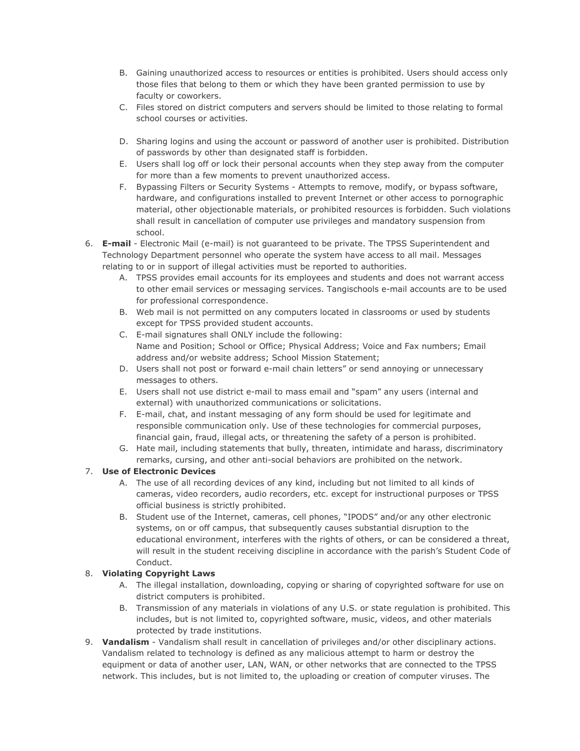- B. Gaining unauthorized access to resources or entities is prohibited. Users should access only those files that belong to them or which they have been granted permission to use by faculty or coworkers.
- C. Files stored on district computers and servers should be limited to those relating to formal school courses or activities.
- D. Sharing logins and using the account or password of another user is prohibited. Distribution of passwords by other than designated staff is forbidden.
- E. Users shall log off or lock their personal accounts when they step away from the computer for more than a few moments to prevent unauthorized access.
- F. Bypassing Filters or Security Systems Attempts to remove, modify, or bypass software, hardware, and configurations installed to prevent Internet or other access to pornographic material, other objectionable materials, or prohibited resources is forbidden. Such violations shall result in cancellation of computer use privileges and mandatory suspension from school.
- 6. **E-mail** Electronic Mail (e-mail) is not guaranteed to be private. The TPSS Superintendent and Technology Department personnel who operate the system have access to all mail. Messages relating to or in support of illegal activities must be reported to authorities.
	- A. TPSS provides email accounts for its employees and students and does not warrant access to other email services or messaging services. Tangischools e-mail accounts are to be used for professional correspondence.
	- B. Web mail is not permitted on any computers located in classrooms or used by students except for TPSS provided student accounts.
	- C. E-mail signatures shall ONLY include the following: Name and Position; School or Office; Physical Address; Voice and Fax numbers; Email address and/or website address; School Mission Statement;
	- D. Users shall not post or forward e-mail chain letters" or send annoying or unnecessary messages to others.
	- E. Users shall not use district e-mail to mass email and "spam" any users (internal and external) with unauthorized communications or solicitations.
	- F. E-mail, chat, and instant messaging of any form should be used for legitimate and responsible communication only. Use of these technologies for commercial purposes, financial gain, fraud, illegal acts, or threatening the safety of a person is prohibited.
	- G. Hate mail, including statements that bully, threaten, intimidate and harass, discriminatory remarks, cursing, and other anti-social behaviors are prohibited on the network.

# 7. **Use of Electronic Devices**

- A. The use of all recording devices of any kind, including but not limited to all kinds of cameras, video recorders, audio recorders, etc. except for instructional purposes or TPSS official business is strictly prohibited.
- B. Student use of the Internet, cameras, cell phones, "IPODS" and/or any other electronic systems, on or off campus, that subsequently causes substantial disruption to the educational environment, interferes with the rights of others, or can be considered a threat, will result in the student receiving discipline in accordance with the parish's Student Code of Conduct.

## 8. **Violating Copyright Laws**

- A. The illegal installation, downloading, copying or sharing of copyrighted software for use on district computers is prohibited.
- B. Transmission of any materials in violations of any U.S. or state regulation is prohibited. This includes, but is not limited to, copyrighted software, music, videos, and other materials protected by trade institutions.
- 9. **Vandalism** Vandalism shall result in cancellation of privileges and/or other disciplinary actions. Vandalism related to technology is defined as any malicious attempt to harm or destroy the equipment or data of another user, LAN, WAN, or other networks that are connected to the TPSS network. This includes, but is not limited to, the uploading or creation of computer viruses. The